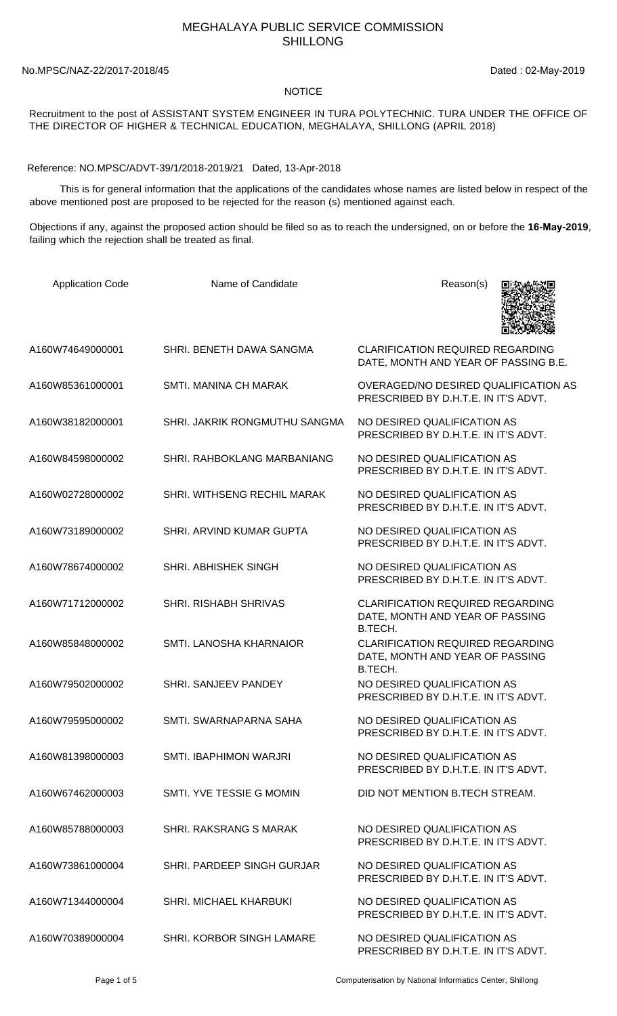## MEGHALAYA PUBLIC SERVICE COMMISSION SHILLONG

No.MPSC/NAZ-22/2017-2018/45 Dated : 02-May-2019

## **NOTICE**

## Recruitment to the post of ASSISTANT SYSTEM ENGINEER IN TURA POLYTECHNIC. TURA UNDER THE OFFICE OF THE DIRECTOR OF HIGHER & TECHNICAL EDUCATION, MEGHALAYA, SHILLONG (APRIL 2018)

Reference: NO.MPSC/ADVT-39/1/2018-2019/21 Dated, 13-Apr-2018

 This is for general information that the applications of the candidates whose names are listed below in respect of the above mentioned post are proposed to be rejected for the reason (s) mentioned against each.

Objections if any, against the proposed action should be filed so as to reach the undersigned, on or before the **16-May-2019**, failing which the rejection shall be treated as final.

| <b>Application Code</b> | Name of Candidate             | Reason(s)                                                                             |
|-------------------------|-------------------------------|---------------------------------------------------------------------------------------|
| A160W74649000001        | SHRI. BENETH DAWA SANGMA      | <b>CLARIFICATION REQUIRED REGARDING</b><br>DATE, MONTH AND YEAR OF PASSING B.E.       |
| A160W85361000001        | SMTI. MANINA CH MARAK         | OVERAGED/NO DESIRED QUALIFICATION AS<br>PRESCRIBED BY D.H.T.E. IN IT'S ADVT.          |
| A160W38182000001        | SHRI. JAKRIK RONGMUTHU SANGMA | NO DESIRED QUALIFICATION AS<br>PRESCRIBED BY D.H.T.E. IN IT'S ADVT.                   |
| A160W84598000002        | SHRI. RAHBOKLANG MARBANIANG   | NO DESIRED QUALIFICATION AS<br>PRESCRIBED BY D.H.T.E. IN IT'S ADVT.                   |
| A160W02728000002        | SHRI. WITHSENG RECHIL MARAK   | NO DESIRED QUALIFICATION AS<br>PRESCRIBED BY D.H.T.E. IN IT'S ADVT.                   |
| A160W73189000002        | SHRI. ARVIND KUMAR GUPTA      | NO DESIRED QUALIFICATION AS<br>PRESCRIBED BY D.H.T.E. IN IT'S ADVT.                   |
| A160W78674000002        | SHRI. ABHISHEK SINGH          | NO DESIRED QUALIFICATION AS<br>PRESCRIBED BY D.H.T.E. IN IT'S ADVT.                   |
| A160W71712000002        | SHRI. RISHABH SHRIVAS         | <b>CLARIFICATION REQUIRED REGARDING</b><br>DATE, MONTH AND YEAR OF PASSING<br>B.TECH. |
| A160W85848000002        | SMTI. LANOSHA KHARNAIOR       | <b>CLARIFICATION REQUIRED REGARDING</b><br>DATE, MONTH AND YEAR OF PASSING<br>B.TECH. |
| A160W79502000002        | SHRI. SANJEEV PANDEY          | NO DESIRED QUALIFICATION AS<br>PRESCRIBED BY D.H.T.E. IN IT'S ADVT.                   |
| A160W79595000002        | SMTI. SWARNAPARNA SAHA        | NO DESIRED QUALIFICATION AS<br>PRESCRIBED BY D.H.T.E. IN IT'S ADVT.                   |
| A160W81398000003        | SMTI. IBAPHIMON WARJRI        | NO DESIRED QUALIFICATION AS<br>PRESCRIBED BY D.H.T.E. IN IT'S ADVT.                   |
| A160W67462000003        | SMTI. YVE TESSIE G MOMIN      | DID NOT MENTION B.TECH STREAM.                                                        |
| A160W85788000003        | SHRI, RAKSRANG S MARAK        | NO DESIRED QUALIFICATION AS<br>PRESCRIBED BY D.H.T.E. IN IT'S ADVT.                   |
| A160W73861000004        | SHRI. PARDEEP SINGH GURJAR    | NO DESIRED QUALIFICATION AS<br>PRESCRIBED BY D.H.T.E. IN IT'S ADVT.                   |
| A160W71344000004        | <b>SHRI. MICHAEL KHARBUKI</b> | NO DESIRED QUALIFICATION AS<br>PRESCRIBED BY D.H.T.E. IN IT'S ADVT.                   |
| A160W70389000004        | SHRI. KORBOR SINGH LAMARE     | NO DESIRED QUALIFICATION AS<br>PRESCRIBED BY D.H.T.E. IN IT'S ADVT.                   |

Page 1 of 5 Computerisation by National Informatics Center, Shillong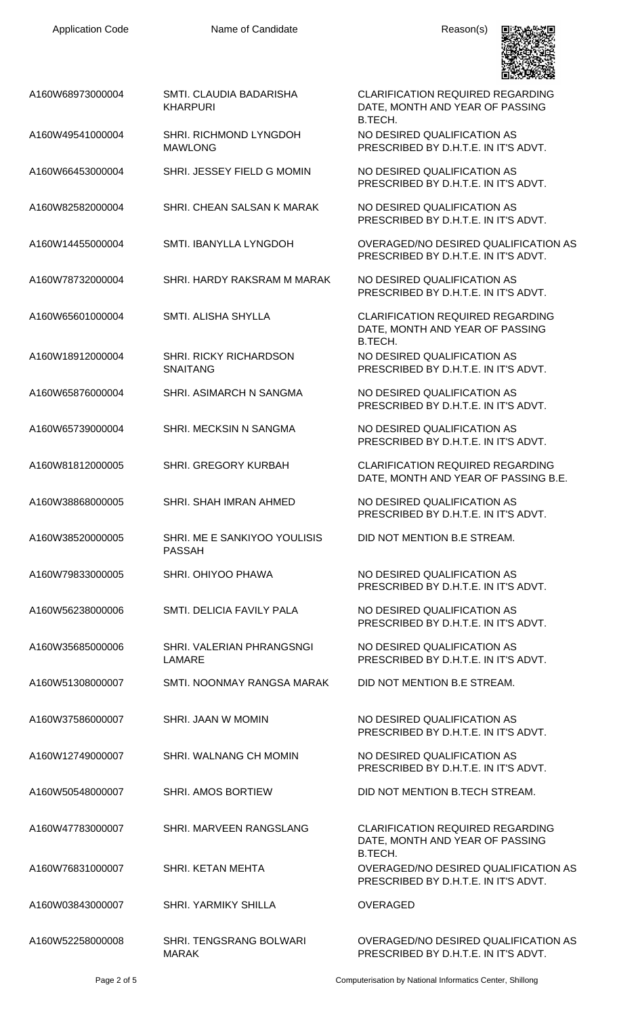

| A160W68973000004 | SMTI. CLAUDIA BADARISHA<br><b>KHARPURI</b>       | <b>CLARIFICATION REQUIRED REGARDING</b><br>DATE, MONTH AND YEAR OF PASSING<br>B.TECH.   |
|------------------|--------------------------------------------------|-----------------------------------------------------------------------------------------|
| A160W49541000004 | SHRI. RICHMOND LYNGDOH<br><b>MAWLONG</b>         | NO DESIRED QUALIFICATION AS<br>PRESCRIBED BY D.H.T.E. IN IT'S ADVT.                     |
| A160W66453000004 | SHRI. JESSEY FIELD G MOMIN                       | NO DESIRED QUALIFICATION AS<br>PRESCRIBED BY D.H.T.E. IN IT'S ADVT.                     |
| A160W82582000004 | SHRI. CHEAN SALSAN K MARAK                       | NO DESIRED QUALIFICATION AS<br>PRESCRIBED BY D.H.T.E. IN IT'S ADVT.                     |
| A160W14455000004 | SMTI. IBANYLLA LYNGDOH                           | OVERAGED/NO DESIRED QUALIFICATION AS<br>PRESCRIBED BY D.H.T.E. IN IT'S ADVT.            |
| A160W78732000004 | SHRI. HARDY RAKSRAM M MARAK                      | NO DESIRED QUALIFICATION AS<br>PRESCRIBED BY D.H.T.E. IN IT'S ADVT.                     |
| A160W65601000004 | SMTI. ALISHA SHYLLA                              | <b>CLARIFICATION REQUIRED REGARDING</b><br>DATE, MONTH AND YEAR OF PASSING<br>B.TECH.   |
| A160W18912000004 | <b>SHRI. RICKY RICHARDSON</b><br><b>SNAITANG</b> | NO DESIRED QUALIFICATION AS<br>PRESCRIBED BY D.H.T.E. IN IT'S ADVT.                     |
| A160W65876000004 | SHRI. ASIMARCH N SANGMA                          | NO DESIRED QUALIFICATION AS<br>PRESCRIBED BY D.H.T.E. IN IT'S ADVT.                     |
| A160W65739000004 | SHRI. MECKSIN N SANGMA                           | NO DESIRED QUALIFICATION AS<br>PRESCRIBED BY D.H.T.E. IN IT'S ADVT.                     |
| A160W81812000005 | SHRI. GREGORY KURBAH                             | <b>CLARIFICATION REQUIRED REGARDING</b><br>DATE, MONTH AND YEAR OF PASSING B.E.         |
| A160W38868000005 | SHRI. SHAH IMRAN AHMED                           | NO DESIRED QUALIFICATION AS<br>PRESCRIBED BY D.H.T.E. IN IT'S ADVT.                     |
| A160W38520000005 | SHRI. ME E SANKIYOO YOULISIS<br><b>PASSAH</b>    | DID NOT MENTION B.E STREAM.                                                             |
| A160W79833000005 | SHRI. OHIYOO PHAWA                               | NO DESIRED QUALIFICATION AS<br>PRESCRIBED BY D.H.T.E. IN IT'S ADVT.                     |
| A160W56238000006 | SMTI. DELICIA FAVILY PALA                        | NO DESIRED QUALIFICATION AS<br>PRESCRIBED BY D.H.T.E. IN IT'S ADVT.                     |
| A160W35685000006 | SHRI. VALERIAN PHRANGSNGI<br>LAMARE              | NO DESIRED QUALIFICATION AS<br>PRESCRIBED BY D.H.T.E. IN IT'S ADVT.                     |
| A160W51308000007 | SMTI. NOONMAY RANGSA MARAK                       | DID NOT MENTION B.E STREAM.                                                             |
| A160W37586000007 | SHRI. JAAN W MOMIN                               | NO DESIRED QUALIFICATION AS<br>PRESCRIBED BY D.H.T.E. IN IT'S ADVT.                     |
| A160W12749000007 | SHRI. WALNANG CH MOMIN                           | NO DESIRED QUALIFICATION AS<br>PRESCRIBED BY D.H.T.E. IN IT'S ADVT.                     |
| A160W50548000007 | <b>SHRI. AMOS BORTIEW</b>                        | DID NOT MENTION B.TECH STREAM.                                                          |
| A160W47783000007 | SHRI. MARVEEN RANGSLANG                          | <b>CLARIFICATION REQUIRED REGARDING</b><br>DATE, MONTH AND YEAR OF PASSING              |
| A160W76831000007 | SHRI. KETAN MEHTA                                | B.TECH.<br>OVERAGED/NO DESIRED QUALIFICATION AS<br>PRESCRIBED BY D.H.T.E. IN IT'S ADVT. |
| A160W03843000007 | <b>SHRI. YARMIKY SHILLA</b>                      | <b>OVERAGED</b>                                                                         |
| A160W52258000008 | SHRI. TENGSRANG BOLWARI<br><b>MARAK</b>          | OVERAGED/NO DESIRED QUALIFICATION AS<br>PRESCRIBED BY D.H.T.E. IN IT'S ADVT.            |

Page 2 of 5 Computerisation by National Informatics Center, Shillong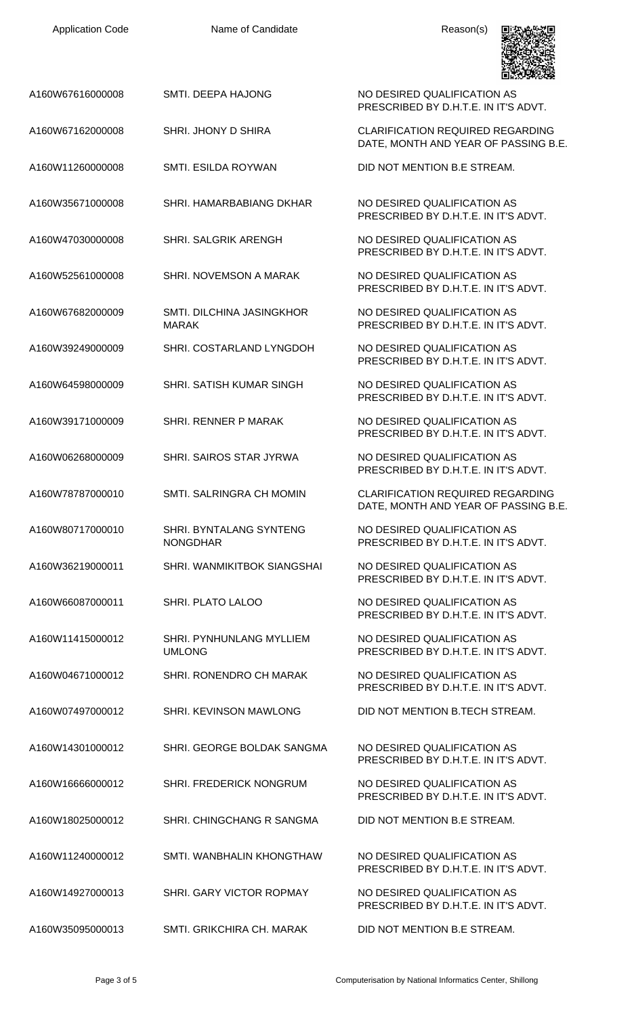| A160W67616000008 | <b>SMTI. DEEPA HAJONG</b>                        | NO DESIRED QUALIFICATION AS<br>PRESCRIBED BY D.H.T.E. IN IT'S ADVT.             |
|------------------|--------------------------------------------------|---------------------------------------------------------------------------------|
| A160W67162000008 | SHRI. JHONY D SHIRA                              | <b>CLARIFICATION REQUIRED REGARDING</b><br>DATE, MONTH AND YEAR OF PASSING B.E. |
| A160W11260000008 | <b>SMTI. ESILDA ROYWAN</b>                       | DID NOT MENTION B.E STREAM.                                                     |
| A160W35671000008 | SHRI. HAMARBABIANG DKHAR                         | NO DESIRED QUALIFICATION AS<br>PRESCRIBED BY D.H.T.E. IN IT'S ADVT.             |
| A160W47030000008 | <b>SHRI. SALGRIK ARENGH</b>                      | NO DESIRED QUALIFICATION AS<br>PRESCRIBED BY D.H.T.E. IN IT'S ADVT.             |
| A160W52561000008 | SHRI. NOVEMSON A MARAK                           | NO DESIRED QUALIFICATION AS<br>PRESCRIBED BY D.H.T.E. IN IT'S ADVT.             |
| A160W67682000009 | SMTI. DILCHINA JASINGKHOR<br><b>MARAK</b>        | NO DESIRED QUALIFICATION AS<br>PRESCRIBED BY D.H.T.E. IN IT'S ADVT.             |
| A160W39249000009 | SHRI. COSTARLAND LYNGDOH                         | NO DESIRED QUALIFICATION AS<br>PRESCRIBED BY D.H.T.E. IN IT'S ADVT.             |
| A160W64598000009 | SHRI. SATISH KUMAR SINGH                         | NO DESIRED QUALIFICATION AS<br>PRESCRIBED BY D.H.T.E. IN IT'S ADVT.             |
| A160W39171000009 | SHRI. RENNER P MARAK                             | NO DESIRED QUALIFICATION AS<br>PRESCRIBED BY D.H.T.E. IN IT'S ADVT.             |
| A160W06268000009 | <b>SHRI. SAIROS STAR JYRWA</b>                   | NO DESIRED QUALIFICATION AS<br>PRESCRIBED BY D.H.T.E. IN IT'S ADVT.             |
| A160W78787000010 | SMTI. SALRINGRA CH MOMIN                         | <b>CLARIFICATION REQUIRED REGARDING</b><br>DATE, MONTH AND YEAR OF PASSING B.E. |
| A160W80717000010 | SHRI. BYNTALANG SYNTENG<br><b>NONGDHAR</b>       | NO DESIRED QUALIFICATION AS<br>PRESCRIBED BY D.H.T.E. IN IT'S ADVT.             |
| A160W36219000011 | SHRI. WANMIKITBOK SIANGSHAI                      | NO DESIRED QUALIFICATION AS<br>PRESCRIBED BY D.H.T.E. IN IT'S ADVT.             |
| A160W66087000011 | <b>SHRI. PLATO LALOO</b>                         | NO DESIRED QUALIFICATION AS<br>PRESCRIBED BY D.H.T.E. IN IT'S ADVT.             |
| A160W11415000012 | <b>SHRI. PYNHUNLANG MYLLIEM</b><br><b>UMLONG</b> | NO DESIRED QUALIFICATION AS<br>PRESCRIBED BY D.H.T.E. IN IT'S ADVT.             |
| A160W04671000012 | SHRI. RONENDRO CH MARAK                          | NO DESIRED QUALIFICATION AS<br>PRESCRIBED BY D.H.T.E. IN IT'S ADVT.             |
| A160W07497000012 | SHRI. KEVINSON MAWLONG                           | DID NOT MENTION B.TECH STREAM.                                                  |
| A160W14301000012 | SHRI. GEORGE BOLDAK SANGMA                       | NO DESIRED QUALIFICATION AS<br>PRESCRIBED BY D.H.T.E. IN IT'S ADVT.             |
| A160W16666000012 | SHRI. FREDERICK NONGRUM                          | NO DESIRED QUALIFICATION AS<br>PRESCRIBED BY D.H.T.E. IN IT'S ADVT.             |
| A160W18025000012 | SHRI. CHINGCHANG R SANGMA                        | DID NOT MENTION B.E STREAM.                                                     |
| A160W11240000012 | SMTI, WANBHALIN KHONGTHAW                        | NO DESIRED QUALIFICATION AS<br>PRESCRIBED BY D.H.T.E. IN IT'S ADVT.             |
| A160W14927000013 | SHRI. GARY VICTOR ROPMAY                         | NO DESIRED QUALIFICATION AS<br>PRESCRIBED BY D.H.T.E. IN IT'S ADVT.             |
| A160W35095000013 | SMTI, GRIKCHIRA CH, MARAK                        | DID NOT MENTION B.E STREAM.                                                     |

Application Code **Name of Candidate Name of Candidate** Reason(s)

**男女の女子**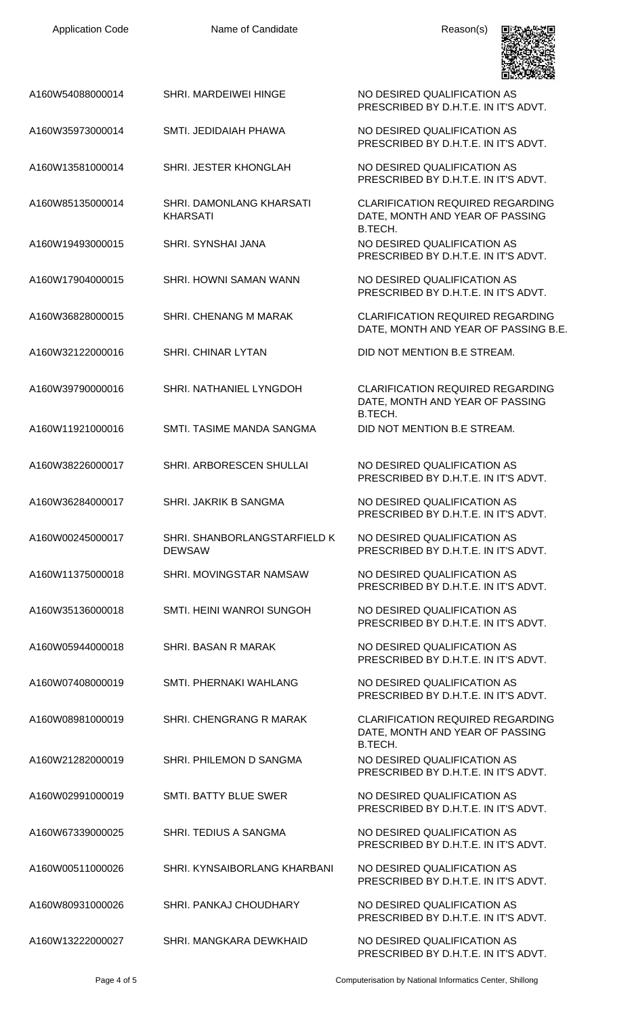| <b>Application Code</b> | Name of Candidate                             | Reason(s)                                                                             |
|-------------------------|-----------------------------------------------|---------------------------------------------------------------------------------------|
| A160W54088000014        | SHRI. MARDEIWEI HINGE                         | NO DESIRED QUALIFICATION AS<br>PRESCRIBED BY D.H.T.E. IN IT'S ADVT.                   |
| A160W35973000014        | SMTI. JEDIDAIAH PHAWA                         | NO DESIRED QUALIFICATION AS<br>PRESCRIBED BY D.H.T.E. IN IT'S ADVT.                   |
| A160W13581000014        | SHRI. JESTER KHONGLAH                         | NO DESIRED QUALIFICATION AS<br>PRESCRIBED BY D.H.T.E. IN IT'S ADVT.                   |
| A160W85135000014        | SHRI. DAMONLANG KHARSATI<br><b>KHARSATI</b>   | <b>CLARIFICATION REQUIRED REGARDING</b><br>DATE, MONTH AND YEAR OF PASSING<br>B.TECH. |
| A160W19493000015        | <b>SHRI. SYNSHAI JANA</b>                     | NO DESIRED QUALIFICATION AS<br>PRESCRIBED BY D.H.T.E. IN IT'S ADVT.                   |
| A160W17904000015        | <b>SHRI, HOWNI SAMAN WANN</b>                 | NO DESIRED QUALIFICATION AS<br>PRESCRIBED BY D.H.T.E. IN IT'S ADVT.                   |
| A160W36828000015        | SHRI. CHENANG M MARAK                         | <b>CLARIFICATION REQUIRED REGARDING</b><br>DATE, MONTH AND YEAR OF PASSING B.E.       |
| A160W32122000016        | <b>SHRI. CHINAR LYTAN</b>                     | DID NOT MENTION B.E STREAM.                                                           |
| A160W39790000016        | SHRI. NATHANIEL LYNGDOH                       | <b>CLARIFICATION REQUIRED REGARDING</b><br>DATE, MONTH AND YEAR OF PASSING<br>B.TECH. |
| A160W11921000016        | SMTI. TASIME MANDA SANGMA                     | DID NOT MENTION B.E STREAM.                                                           |
| A160W38226000017        | SHRI. ARBORESCEN SHULLAI                      | NO DESIRED QUALIFICATION AS<br>PRESCRIBED BY D.H.T.E. IN IT'S ADVT.                   |
| A160W36284000017        | <b>SHRI. JAKRIK B SANGMA</b>                  | NO DESIRED QUALIFICATION AS<br>PRESCRIBED BY D.H.T.E. IN IT'S ADVT.                   |
| A160W00245000017        | SHRI. SHANBORLANGSTARFIELD K<br><b>DEWSAW</b> | NO DESIRED QUALIFICATION AS<br>PRESCRIBED BY D.H.T.E. IN IT'S ADVT.                   |
| A160W11375000018        | SHRI. MOVINGSTAR NAMSAW                       | NO DESIRED QUALIFICATION AS<br>PRESCRIBED BY D.H.T.E. IN IT'S ADVT.                   |
| A160W35136000018        | <b>SMTI. HEINI WANROI SUNGOH</b>              | NO DESIRED QUALIFICATION AS<br>PRESCRIBED BY D.H.T.E. IN IT'S ADVT.                   |
| A160W05944000018        | <b>SHRI. BASAN R MARAK</b>                    | NO DESIRED QUALIFICATION AS<br>PRESCRIBED BY D.H.T.E. IN IT'S ADVT.                   |
| A160W07408000019        | SMTI. PHERNAKI WAHLANG                        | NO DESIRED QUALIFICATION AS<br>PRESCRIBED BY D.H.T.E. IN IT'S ADVT.                   |
| A160W08981000019        | SHRI. CHENGRANG R MARAK                       | <b>CLARIFICATION REQUIRED REGARDING</b><br>DATE, MONTH AND YEAR OF PASSING<br>B.TECH. |
| A160W21282000019        | SHRI. PHILEMON D SANGMA                       | NO DESIRED QUALIFICATION AS<br>PRESCRIBED BY D.H.T.E. IN IT'S ADVT.                   |
| A160W02991000019        | SMTI. BATTY BLUE SWER                         | NO DESIRED QUALIFICATION AS<br>PRESCRIBED BY D.H.T.E. IN IT'S ADVT.                   |
| A160W67339000025        | SHRI. TEDIUS A SANGMA                         | NO DESIRED QUALIFICATION AS<br>PRESCRIBED BY D.H.T.E. IN IT'S ADVT.                   |
| A160W00511000026        | SHRI, KYNSAIBORLANG KHARBANI                  | NO DESIRED QUALIFICATION AS<br>PRESCRIBED BY D.H.T.E. IN IT'S ADVT.                   |
| A160W80931000026        | <b>SHRI, PANKAJ CHOUDHARY</b>                 | NO DESIRED QUALIFICATION AS<br>PRESCRIBED BY D.H.T.E. IN IT'S ADVT.                   |
| A160W13222000027        | SHRI. MANGKARA DEWKHAID                       | NO DESIRED QUALIFICATION AS<br>PRESCRIBED BY D.H.T.E. IN IT'S ADVT.                   |

Page 4 of 5 Computerisation by National Informatics Center, Shillong